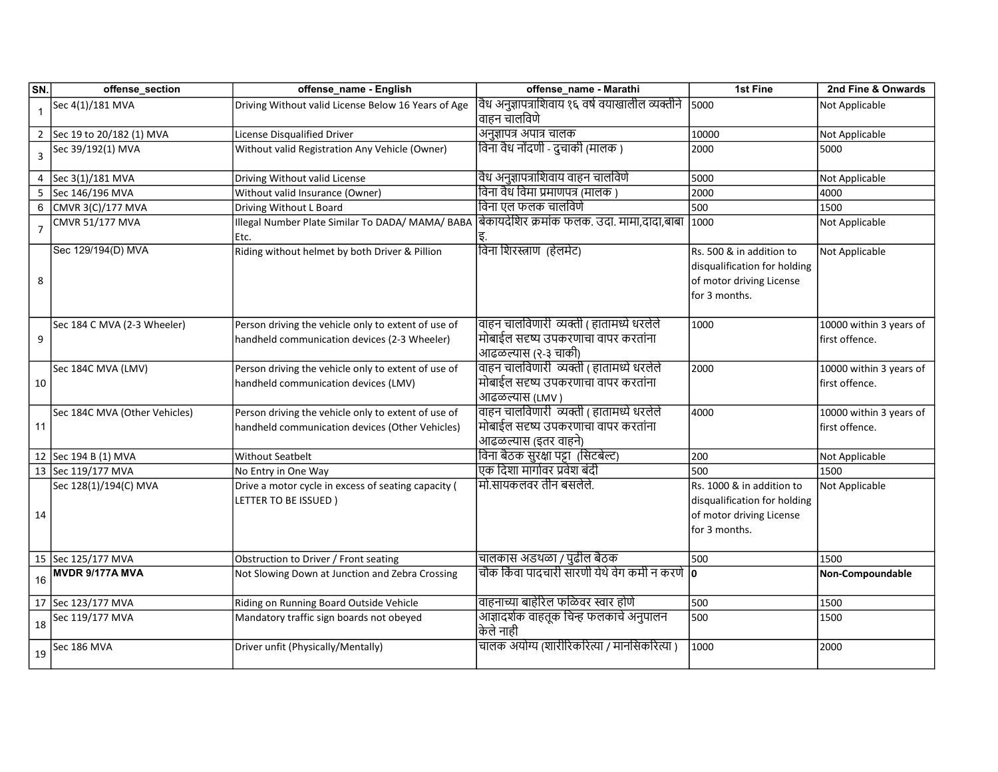| SN.                     | offense_section                       | offense_name - English                              | offense_name - Marathi                                                             | 1st Fine                     | 2nd Fine & Onwards      |
|-------------------------|---------------------------------------|-----------------------------------------------------|------------------------------------------------------------------------------------|------------------------------|-------------------------|
| $\overline{1}$          | Sec 4(1)/181 MVA                      | Driving Without valid License Below 16 Years of Age | वैध अनुज्ञापत्राशिवाय १६ वर्ष वयाखालील व्यक्तीने                                   | 5000                         | Not Applicable          |
|                         |                                       |                                                     | वाहन चालविणे                                                                       |                              |                         |
|                         | 2 Sec 19 to 20/182 (1) MVA            | License Disqualified Driver                         | अनुज्ञापत्र अपात्र चालक                                                            | 10000                        | Not Applicable          |
| $\overline{\mathbf{3}}$ | Sec 39/192(1) MVA                     | Without valid Registration Any Vehicle (Owner)      | विना वैध नोंदणी - दुचाकी (मालक )                                                   | 2000                         | 5000                    |
|                         |                                       |                                                     |                                                                                    |                              |                         |
| 4                       | Sec 3(1)/181 MVA                      | Driving Without valid License                       | वैध अनुज्ञापत्राशिवाय वाहन चालविणे                                                 | 5000                         | Not Applicable          |
| -5                      | Sec 146/196 MVA                       | Without valid Insurance (Owner)                     | विना वैध विमा प्रमाणपत्र (मालक )                                                   | 2000                         | 4000                    |
| 6                       | CMVR 3(C)/177 MVA                     | Driving Without L Board                             | विना एल फलक चालविणे                                                                | 500                          | 1500                    |
| $\overline{7}$          | CMVR 51/177 MVA                       | Illegal Number Plate Similar To DADA/ MAMA/ BABA    | बिकायदेशिर क्रमांक फलक. उदा. मामा,दादा,बाबा                                        | 1000                         | Not Applicable          |
|                         |                                       | Etc.                                                |                                                                                    |                              |                         |
|                         | Sec 129/194(D) MVA                    | Riding without helmet by both Driver & Pillion      | विना शिरस्त्राण (हेलमेट)                                                           | Rs. 500 & in addition to     | Not Applicable          |
|                         |                                       |                                                     |                                                                                    | disqualification for holding |                         |
| 8                       |                                       |                                                     |                                                                                    | of motor driving License     |                         |
|                         |                                       |                                                     |                                                                                    | for 3 months.                |                         |
|                         |                                       |                                                     |                                                                                    |                              |                         |
|                         | Sec 184 C MVA (2-3 Wheeler)           | Person driving the vehicle only to extent of use of | वाहन चालविणारी व्यक्ती ( हातामध्ये धरलेले                                          | 1000                         | 10000 within 3 years of |
| 9                       |                                       | handheld communication devices (2-3 Wheeler)        | मोबाईल सदृष्य उपकरणाचा वापर करतांना                                                |                              | first offence.          |
|                         |                                       |                                                     | आढळल्यास (२-३ चाकी)                                                                |                              |                         |
|                         | Sec 184C MVA (LMV)                    | Person driving the vehicle only to extent of use of | वाहन चालविणारी  व्यक्ती ( हातामध्ये धरलेले                                         | 2000                         | 10000 within 3 years of |
| 10                      |                                       | handheld communication devices (LMV)                | मोबाईल सदृष्य उपकरणाचा वापर करतांना                                                |                              | first offence.          |
|                         |                                       |                                                     | आढळल्यास (LMV)                                                                     |                              |                         |
|                         | Sec 184C MVA (Other Vehicles)         | Person driving the vehicle only to extent of use of | वाहन चालविणारी  व्यक्ती ( हातामध्ये धरलेले                                         | 4000                         | 10000 within 3 years of |
| 11                      |                                       | handheld communication devices (Other Vehicles)     | मोबाईल सदृष्य उपकरणाचा वापर करतांना                                                |                              | first offence.          |
|                         |                                       |                                                     | आढळल्यास (इतर वाहने)                                                               |                              |                         |
|                         | 12 Sec 194 B (1) MVA                  | <b>Without Seatbelt</b>                             | विना बैठक सुरक्षा पट्टा (सिटबेल्ट)                                                 | 200                          | Not Applicable          |
|                         | 13 Sec 119/177 MVA                    | No Entry in One Way                                 | एक दिशा मार्गावर प्रवेश बंदी                                                       | 500                          | 1500                    |
|                         | Sec 128(1)/194(C) MVA                 | Drive a motor cycle in excess of seating capacity ( | मो.सायकलवर तीन बसलेले.                                                             | Rs. 1000 & in addition to    | Not Applicable          |
|                         |                                       | LETTER TO BE ISSUED)                                |                                                                                    | disqualification for holding |                         |
| 14                      |                                       |                                                     |                                                                                    | of motor driving License     |                         |
|                         |                                       |                                                     |                                                                                    | for 3 months.                |                         |
|                         |                                       |                                                     |                                                                                    |                              |                         |
|                         | 15 Sec 125/177 MVA<br>MVDR 9/177A MVA | Obstruction to Driver / Front seating               | चालकास अडथळा / पुढील बैठक<br><u>चौक किंवा पादचारी सारणी येथे वेग कमी न करणे  o</u> | 500                          | 1500                    |
| 16                      |                                       | Not Slowing Down at Junction and Zebra Crossing     |                                                                                    |                              | Non-Compoundable        |
|                         | 17 Sec 123/177 MVA                    | Riding on Running Board Outside Vehicle             | वाहनाच्या बाहेरिल फळिवर स्वार होणे                                                 | 500                          | 1500                    |
|                         | Sec 119/177 MVA                       | Mandatory traffic sign boards not obeyed            | आज्ञादर्शक वाहतूक चिन्ह फलकाचे अनुपालन                                             | 500                          | 1500                    |
| 18                      |                                       |                                                     | केले नाही                                                                          |                              |                         |
| 19                      | Sec 186 MVA                           | Driver unfit (Physically/Mentally)                  | चालक अयोग्य (शारीरिकरित्या / मानसिकरित्या )                                        | 1000                         | 2000                    |
|                         |                                       |                                                     |                                                                                    |                              |                         |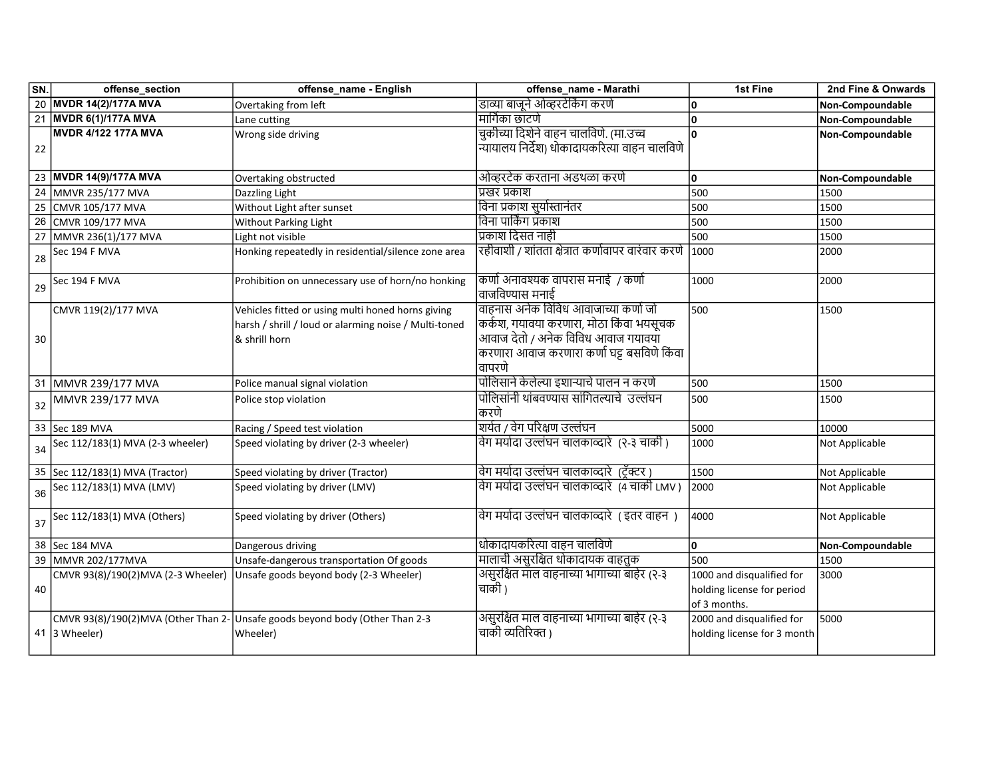| SN.    | offense_section                     | offense_name - English                                                                                                       | offense_name - Marathi                                                                                                                                                         | 1st Fine                                                                | 2nd Fine & Onwards |
|--------|-------------------------------------|------------------------------------------------------------------------------------------------------------------------------|--------------------------------------------------------------------------------------------------------------------------------------------------------------------------------|-------------------------------------------------------------------------|--------------------|
|        | 20 MVDR 14(2)/177A MVA              | Overtaking from left                                                                                                         | डाव्या बाजूने ओव्हरटेकिंग करणे                                                                                                                                                 | 10                                                                      | Non-Compoundable   |
|        | 21 MVDR 6(1)/177A MVA               | Lane cutting                                                                                                                 | मार्गिका छाटणे                                                                                                                                                                 | ۱o                                                                      | Non-Compoundable   |
| 22     | <b>MVDR 4/122 177A MVA</b>          | Wrong side driving                                                                                                           | चुकीच्या दिशेने वाहन चालविणे. (मा.उच्च<br>न्यायालय निर्देश) धोकादायकरित्या वाहन चालविणे                                                                                        | ۱o                                                                      | Non-Compoundable   |
|        | 23 MVDR 14(9)/177A MVA              | Overtaking obstructed                                                                                                        | ओव्हरटेक करताना अडथळा करणे                                                                                                                                                     | ۱o                                                                      | Non-Compoundable   |
|        | 24 MMVR 235/177 MVA                 | Dazzling Light                                                                                                               | प्रखर प्रकाश                                                                                                                                                                   | 500                                                                     | 1500               |
| 25     | CMVR 105/177 MVA                    | Without Light after sunset                                                                                                   | विना प्रकाश सुर्यास्तानंतर                                                                                                                                                     | 500                                                                     | 1500               |
|        | 26 CMVR 109/177 MVA                 | Without Parking Light                                                                                                        | विना पार्किंग प्रकाश                                                                                                                                                           | 500                                                                     | 1500               |
|        | 27 MMVR 236(1)/177 MVA              | Light not visible                                                                                                            | प्रकाश दिसत नाही                                                                                                                                                               | 500                                                                     | 1500               |
| 28     | Sec 194 F MVA                       | Honking repeatedly in residential/silence zone area                                                                          | रहीवाशी / शांतता क्षेत्रात कर्णावापर वारंवार करणे                                                                                                                              | 1000                                                                    | 2000               |
|        | 29 Sec 194 F MVA                    | Prohibition on unnecessary use of horn/no honking                                                                            | कर्णा अनावश्यक वापरास मनाई / कर्णा<br>वाजविण्यास मनाई                                                                                                                          | 1000                                                                    | 2000               |
| $30\,$ | CMVR 119(2)/177 MVA                 | Vehicles fitted or using multi honed horns giving<br>harsh / shrill / loud or alarming noise / Multi-toned<br>l& shrill horn | वाहनास अनेक विविध आवाजाच्या कर्णा जो<br>कर्कश, गयावया करणारा, मोठा किंवा भयसूचक<br>आवाज देतो / अनेक विविध आवाज गयावया<br>करणारा आवाज करणारा कर्णा घट्ट बसविणे किंवा<br> वापरणे | 500                                                                     | 1500               |
|        | 31 MMVR 239/177 MVA                 | Police manual signal violation                                                                                               | पोलिसाने केलेल्या इशाऱ्याचे पालन न करणे                                                                                                                                        | 500                                                                     | 1500               |
| 32     | MMVR 239/177 MVA                    | Police stop violation                                                                                                        | पोलिसांनी थांबवण्यास सांगितल्याचे  उल्लंघन<br> करणे                                                                                                                            | 500                                                                     | 1500               |
|        | 33 Sec 189 MVA                      | Racing / Speed test violation                                                                                                | शर्यत / वेग परिक्षण उल्लंघन                                                                                                                                                    | 5000                                                                    | 10000              |
|        | 34 Sec 112/183(1) MVA (2-3 wheeler) | Speed violating by driver (2-3 wheeler)                                                                                      | विग मर्यादा उल्लंघन चालकाव्दारे  (२-३ चाकी )                                                                                                                                   | 1000                                                                    | Not Applicable     |
|        | 35 Sec 112/183(1) MVA (Tractor)     | Speed violating by driver (Tractor)                                                                                          | विग मर्यादा उल्लंघन चालकाव्दारे  (ट्रॅक्टर )                                                                                                                                   | 1500                                                                    | Not Applicable     |
|        | 36 Sec 112/183(1) MVA (LMV)         | Speed violating by driver (LMV)                                                                                              | विग मर्यादा उल्लंघन चालकाव्दारे  (4 चाकी LMV )                                                                                                                                 | 2000                                                                    | Not Applicable     |
|        | 37 Sec 112/183(1) MVA (Others)      | Speed violating by driver (Others)                                                                                           | विग मर्यादा उल्लंघन चालकाव्दारे । इतर वाहन )                                                                                                                                   | 4000                                                                    | Not Applicable     |
|        | 38 Sec 184 MVA                      | Dangerous driving                                                                                                            | धोकादायकरित्या वाहन चालविणे                                                                                                                                                    | O.                                                                      | Non-Compoundable   |
|        | 39 MMVR 202/177MVA                  | Unsafe-dangerous transportation Of goods                                                                                     | मालाची असुरक्षित धोकादायक वाहतुक                                                                                                                                               | 500                                                                     | 1500               |
| 40     | CMVR 93(8)/190(2)MVA (2-3 Wheeler)  | Unsafe goods beyond body (2-3 Wheeler)                                                                                       | असुरक्षित माल वाहनाच्या भागाच्या बाहेर (२-३<br> चाकी )                                                                                                                         | 1000 and disqualified for<br>holding license for period<br>of 3 months. | 3000               |
|        | 41 3 Wheeler)                       | CMVR 93(8)/190(2)MVA (Other Than 2- Unsafe goods beyond body (Other Than 2-3<br>Wheeler)                                     | असुरक्षित माल वाहनाच्या भागाच्या बाहेर (२-३<br>चाकी व्यतिरिक्त )                                                                                                               | 2000 and disqualified for<br>holding license for 3 month                | 5000               |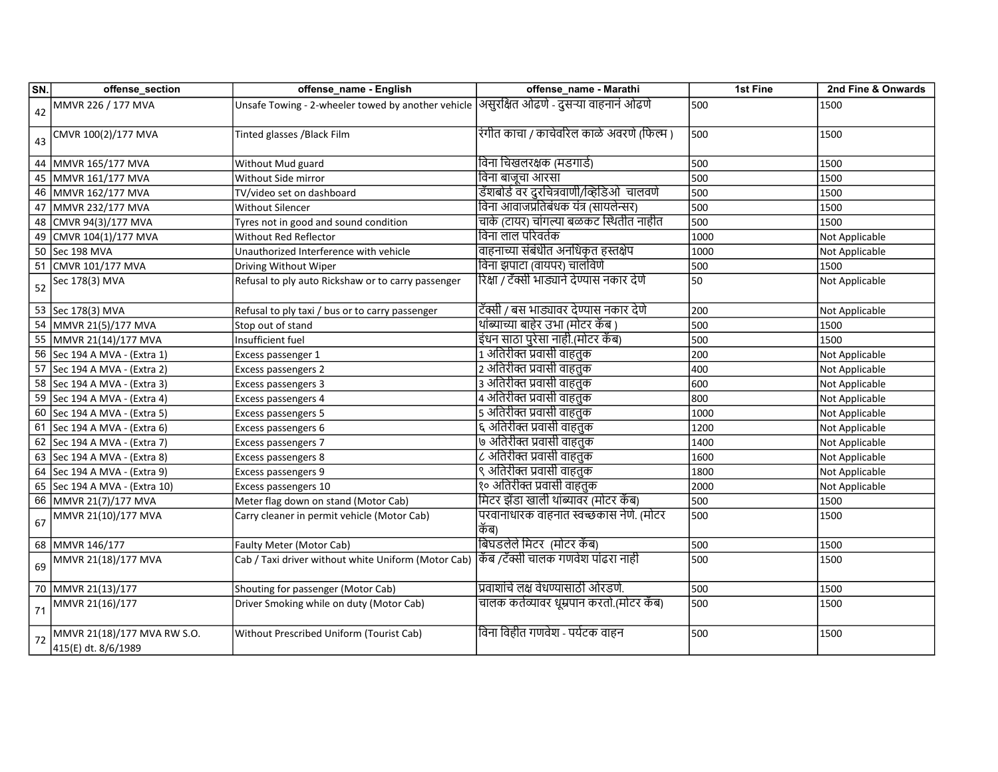| SN. | offense_section                                    | offense_name - English                                                                    | offense_name - Marathi                          | 1st Fine | 2nd Fine & Onwards |
|-----|----------------------------------------------------|-------------------------------------------------------------------------------------------|-------------------------------------------------|----------|--------------------|
| 42  | MMVR 226 / 177 MVA                                 | Unsafe Towing - 2-wheeler towed by another vehicle  असुरक्षित ओढणे - दुसऱ्या वाहनानं ओढणे |                                                 | 500      | 1500               |
| 43  | CMVR 100(2)/177 MVA                                | Tinted glasses /Black Film                                                                | रंगीत काचा / काचेवरिल काळे अवरणे (फिल्म )       | 500      | 1500               |
|     | 44 MMVR 165/177 MVA                                | Without Mud guard                                                                         | विना चिखलरक्षक (मडगार्ड)                        | 500      | 1500               |
| 45  | MMVR 161/177 MVA                                   | Without Side mirror                                                                       | विना बाजूचा आरसा                                | 500      | 1500               |
| 46  | MMVR 162/177 MVA                                   | TV/video set on dashboard                                                                 | डॅशबोर्ड वर दुरचित्रवाणी/व्हिडिओ चालवणे         | 500      | 1500               |
| 47  | MMVR 232/177 MVA                                   | Without Silencer                                                                          | विना आवाजप्रतिबंधक यंत्र (सायलेन्सर)            | 500      | 1500               |
| 48  | CMVR 94(3)/177 MVA                                 | Tyres not in good and sound condition                                                     | चाके (टायर) चांगल्या बळकट स्थितीत नाहीत         | 500      | 1500               |
| 49  | CMVR 104(1)/177 MVA                                | Without Red Reflector                                                                     | विना लाल परिवर्तक                               | 1000     | Not Applicable     |
| 50  | Sec 198 MVA                                        | Unauthorized Interference with vehicle                                                    | वाहनाच्या संबंधीत अनधिकृत हस्तक्षेप             | 1000     | Not Applicable     |
| 51  | CMVR 101/177 MVA                                   | Driving Without Wiper                                                                     | विना झपाटा (वायपर) चालविणे                      | 500      | 1500               |
| 52  | Sec 178(3) MVA                                     | Refusal to ply auto Rickshaw or to carry passenger                                        | रिक्षा / टॅक्सी भाड्याने देण्यास नकार देणे      | 50       | Not Applicable     |
|     | 53 Sec 178(3) MVA                                  | Refusal to ply taxi / bus or to carry passenger                                           | टॅक्सी / बस भाड्यावर देण्यास नकार देणे          | 200      | Not Applicable     |
| 54  | MMVR 21(5)/177 MVA                                 | Stop out of stand                                                                         | थांब्याच्या बाहेर उभा (मोटर कॅब )               | 500      | 1500               |
| 55  | MMVR 21(14)/177 MVA                                | Insufficient fuel                                                                         | इंधन साठा पुरेसा नाही.(मोटर कॅब)                | 500      | 1500               |
|     | 56 Sec 194 A MVA - (Extra 1)                       | Excess passenger 1                                                                        | 1 अतिरीक्त प्रवासी वाहतुक                       | 200      | Not Applicable     |
| 57  | Sec 194 A MVA - (Extra 2)                          | Excess passengers 2                                                                       | 2 अतिरीक्त प्रवासी वाहतुक                       | 400      | Not Applicable     |
|     | 58 Sec 194 A MVA - (Extra 3)                       | Excess passengers 3                                                                       | 3 अतिरीक्त प्रवासी वाहतुक                       | 600      | Not Applicable     |
| 59  | Sec 194 A MVA - (Extra 4)                          | Excess passengers 4                                                                       | 4 अतिरीक्त प्रवासी वाहतुक                       | 800      | Not Applicable     |
|     | 60 Sec 194 A MVA - (Extra 5)                       | Excess passengers 5                                                                       | 5 अतिरीक्त प्रवासी वाहतुक                       | 1000     | Not Applicable     |
| 61  | Sec 194 A MVA - (Extra 6)                          | Excess passengers 6                                                                       | ६ अतिरीक्त प्रवासी वाहतुक                       | 1200     | Not Applicable     |
| 62  | Sec 194 A MVA - (Extra 7)                          | Excess passengers 7                                                                       | ७ अतिरीक्त प्रवासी वाहतुक                       | 1400     | Not Applicable     |
|     | 63 Sec 194 A MVA - (Extra 8)                       | Excess passengers 8                                                                       | ८ अतिरीक्त प्रवासी वाहतुक                       | 1600     | Not Applicable     |
| 64  | Sec 194 A MVA - (Extra 9)                          | Excess passengers 9                                                                       | ९ अतिरीक्त प्रवासी वाहतुक                       | 1800     | Not Applicable     |
|     | 65 Sec 194 A MVA - (Extra 10)                      | Excess passengers 10                                                                      | १० अतिरीक्त प्रवासी वाहतुक                      | 2000     | Not Applicable     |
|     | 66 MMVR 21(7)/177 MVA                              | Meter flag down on stand (Motor Cab)                                                      | मिटर झेंडा खाली थांब्यावर (मोटर कॅब)            | 500      | 1500               |
| 67  | MMVR 21(10)/177 MVA                                | Carry cleaner in permit vehicle (Motor Cab)                                               | परवानाधारक वाहनात स्वच्छकास नेणे. (मोटर<br>किब) | 500      | 1500               |
|     | 68 MMVR 146/177                                    | Faulty Meter (Motor Cab)                                                                  | बिघडलेले मिटर)(मोटर कॅब)                        | 500      | 1500               |
| 69  | MMVR 21(18)/177 MVA                                | Cab / Taxi driver without white Uniform (Motor Cab)  कॅब /टॅक्सी चालक गणवेश पांढरा नाही   |                                                 | 500      | 1500               |
|     | 70 MMVR 21(13)/177                                 | Shouting for passenger (Motor Cab)                                                        | प्रवाशांचे लक्ष वेधण्यासाठी ओरडणे.              | 500      | 1500               |
| 71  | MMVR 21(16)/177                                    | Driver Smoking while on duty (Motor Cab)                                                  | चालक कर्तव्यावर धूम्रपान करतो.(मोटर कॅंब)       | 500      | 1500               |
| 72  | MMVR 21(18)/177 MVA RW S.O.<br>415(E) dt. 8/6/1989 | Without Prescribed Uniform (Tourist Cab)                                                  | विना विहीत गणवेश - पर्यटक वाहन                  | 500      | 1500               |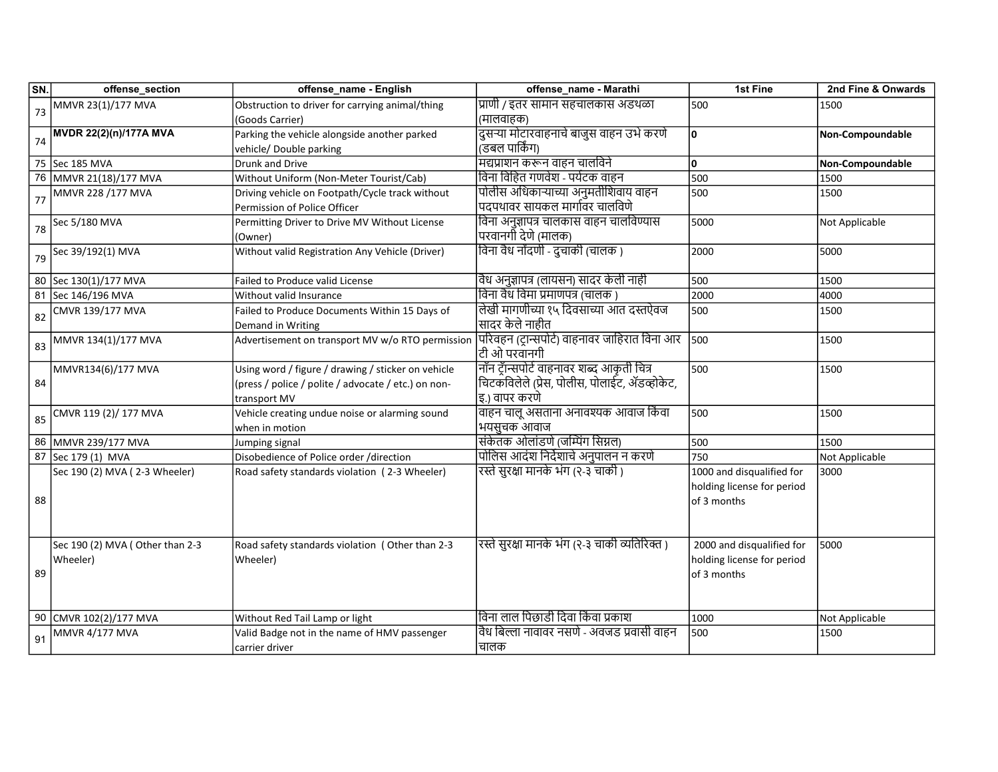| प्राणी / इतर सामान सहचालकास अडथळा<br>MMVR 23(1)/177 MVA<br>Obstruction to driver for carrying animal/thing<br>500<br>1500<br>73<br>(मालवाहक)<br>(Goods Carrier)<br>दुसऱ्या मोटारवाहनाचे बाजुस वाहन उभे करणे<br><b>MVDR 22(2)(n)/177A MVA</b><br>۱o<br>Parking the vehicle alongside another parked<br>Non-Compoundable<br>74<br>(डबल पार्किंग)<br>vehicle/ Double parking<br>मद्यप्राशन करून वाहन चालविने<br>75 Sec 185 MVA<br>۱o<br>Non-Compoundable<br>Drunk and Drive<br>विना विहित गणवेश - पर्यटक वाहन<br>500<br>76 MMVR 21(18)/177 MVA<br>Without Uniform (Non-Meter Tourist/Cab)<br>1500<br>पोलीस अधिकाऱ्याच्या अनुमतीशिवाय वाहन<br>MMVR 228 /177 MVA<br>Driving vehicle on Footpath/Cycle track without<br>500<br>1500<br>77<br>पदपथावर सायकल मार्गावर चालविणे<br>Permission of Police Officer<br>विना अनुज्ञापत्र चालकास वाहन चालविण्यास<br>5000<br>Sec 5/180 MVA<br>Permitting Driver to Drive MV Without License<br>Not Applicable<br>78<br>परवानगी देणे (मालक)<br>(Owner)<br>विना वैध नोंदणी - दुचाकी (चालक )<br>Without valid Registration Any Vehicle (Driver)<br>Sec 39/192(1) MVA<br>2000<br>5000<br>79<br> वैध अनुज्ञापत्र (लायसन) सादर केली नाही<br>80 Sec 130(1)/177 MVA<br>500<br>1500<br>Failed to Produce valid License<br> विना वैध विमा प्रमाणपत्र (चालक )<br>81 Sec 146/196 MVA<br>2000<br>Without valid Insurance<br>4000<br>लेखी मागणीच्या १५ दिवसाच्या आत दस्तऐवज<br>500<br>CMVR 139/177 MVA<br>Failed to Produce Documents Within 15 Days of<br>1500<br>82<br> सादर केले नाहीत<br>Demand in Writing<br>पिरिवहन (ट्रान्सपोर्ट) वाहनावर जाहिरात विना आर<br>500<br>Advertisement on transport MV w/o RTO permission<br>MMVR 134(1)/177 MVA<br>1500<br>83<br> टी ओ परवानगी<br>नॉिन ट्रॅन्सपोर्ट वाहनावर शब्द आकृती चित्र<br>Using word / figure / drawing / sticker on vehicle<br>500<br>MMVR134(6)/177 MVA<br>1500<br>चिटकविलेले (प्रेस, पोलीस, पोलाईट, ॲडव्होकेट,<br>84<br>(press / police / polite / advocate / etc.) on non-<br> इ.) वापर करणे<br>transport MV<br>वाहन चालू असताना अनावश्यक आवाज किंवा<br>500<br>CMVR 119 (2)/ 177 MVA<br>Vehicle creating undue noise or alarming sound<br>1500<br>85<br>भयसुचक आवाज<br>when in motion<br>संकेतक ओलांडणे (जम्पिंग सिग्नल)<br>86<br>MMVR 239/177 MVA<br>500<br>1500<br>Jumping signal<br>पोलिस आदंश निर्देशाचे अनुपालन न करणे<br>87<br>750<br>Sec 179 (1) MVA<br>Disobedience of Police order /direction<br>Not Applicable<br>रस्ते सुरक्षा मानके भंग (२-३ चाकी )<br>Sec 190 (2) MVA (2-3 Wheeler)<br>1000 and disqualified for<br>Road safety standards violation (2-3 Wheeler)<br>3000<br>holding license for period<br>88<br>of 3 months<br>रस्ते सुरक्षा मानके भंग (२-३ चाकी व्यतिरिक्त )<br>2000 and disqualified for<br>Sec 190 (2) MVA (Other than 2-3<br>Road safety standards violation (Other than 2-3<br>5000 | 2nd Fine & Onwards |
|------------------------------------------------------------------------------------------------------------------------------------------------------------------------------------------------------------------------------------------------------------------------------------------------------------------------------------------------------------------------------------------------------------------------------------------------------------------------------------------------------------------------------------------------------------------------------------------------------------------------------------------------------------------------------------------------------------------------------------------------------------------------------------------------------------------------------------------------------------------------------------------------------------------------------------------------------------------------------------------------------------------------------------------------------------------------------------------------------------------------------------------------------------------------------------------------------------------------------------------------------------------------------------------------------------------------------------------------------------------------------------------------------------------------------------------------------------------------------------------------------------------------------------------------------------------------------------------------------------------------------------------------------------------------------------------------------------------------------------------------------------------------------------------------------------------------------------------------------------------------------------------------------------------------------------------------------------------------------------------------------------------------------------------------------------------------------------------------------------------------------------------------------------------------------------------------------------------------------------------------------------------------------------------------------------------------------------------------------------------------------------------------------------------------------------------------------------------------------------------------------------------------------------------------------------------------------------------------------------------------------------------------------------------------------------------------------------------------------------------------------------------------------------------------------|--------------------|
|                                                                                                                                                                                                                                                                                                                                                                                                                                                                                                                                                                                                                                                                                                                                                                                                                                                                                                                                                                                                                                                                                                                                                                                                                                                                                                                                                                                                                                                                                                                                                                                                                                                                                                                                                                                                                                                                                                                                                                                                                                                                                                                                                                                                                                                                                                                                                                                                                                                                                                                                                                                                                                                                                                                                                                                                      |                    |
|                                                                                                                                                                                                                                                                                                                                                                                                                                                                                                                                                                                                                                                                                                                                                                                                                                                                                                                                                                                                                                                                                                                                                                                                                                                                                                                                                                                                                                                                                                                                                                                                                                                                                                                                                                                                                                                                                                                                                                                                                                                                                                                                                                                                                                                                                                                                                                                                                                                                                                                                                                                                                                                                                                                                                                                                      |                    |
|                                                                                                                                                                                                                                                                                                                                                                                                                                                                                                                                                                                                                                                                                                                                                                                                                                                                                                                                                                                                                                                                                                                                                                                                                                                                                                                                                                                                                                                                                                                                                                                                                                                                                                                                                                                                                                                                                                                                                                                                                                                                                                                                                                                                                                                                                                                                                                                                                                                                                                                                                                                                                                                                                                                                                                                                      |                    |
|                                                                                                                                                                                                                                                                                                                                                                                                                                                                                                                                                                                                                                                                                                                                                                                                                                                                                                                                                                                                                                                                                                                                                                                                                                                                                                                                                                                                                                                                                                                                                                                                                                                                                                                                                                                                                                                                                                                                                                                                                                                                                                                                                                                                                                                                                                                                                                                                                                                                                                                                                                                                                                                                                                                                                                                                      |                    |
|                                                                                                                                                                                                                                                                                                                                                                                                                                                                                                                                                                                                                                                                                                                                                                                                                                                                                                                                                                                                                                                                                                                                                                                                                                                                                                                                                                                                                                                                                                                                                                                                                                                                                                                                                                                                                                                                                                                                                                                                                                                                                                                                                                                                                                                                                                                                                                                                                                                                                                                                                                                                                                                                                                                                                                                                      |                    |
|                                                                                                                                                                                                                                                                                                                                                                                                                                                                                                                                                                                                                                                                                                                                                                                                                                                                                                                                                                                                                                                                                                                                                                                                                                                                                                                                                                                                                                                                                                                                                                                                                                                                                                                                                                                                                                                                                                                                                                                                                                                                                                                                                                                                                                                                                                                                                                                                                                                                                                                                                                                                                                                                                                                                                                                                      |                    |
|                                                                                                                                                                                                                                                                                                                                                                                                                                                                                                                                                                                                                                                                                                                                                                                                                                                                                                                                                                                                                                                                                                                                                                                                                                                                                                                                                                                                                                                                                                                                                                                                                                                                                                                                                                                                                                                                                                                                                                                                                                                                                                                                                                                                                                                                                                                                                                                                                                                                                                                                                                                                                                                                                                                                                                                                      |                    |
|                                                                                                                                                                                                                                                                                                                                                                                                                                                                                                                                                                                                                                                                                                                                                                                                                                                                                                                                                                                                                                                                                                                                                                                                                                                                                                                                                                                                                                                                                                                                                                                                                                                                                                                                                                                                                                                                                                                                                                                                                                                                                                                                                                                                                                                                                                                                                                                                                                                                                                                                                                                                                                                                                                                                                                                                      |                    |
|                                                                                                                                                                                                                                                                                                                                                                                                                                                                                                                                                                                                                                                                                                                                                                                                                                                                                                                                                                                                                                                                                                                                                                                                                                                                                                                                                                                                                                                                                                                                                                                                                                                                                                                                                                                                                                                                                                                                                                                                                                                                                                                                                                                                                                                                                                                                                                                                                                                                                                                                                                                                                                                                                                                                                                                                      |                    |
|                                                                                                                                                                                                                                                                                                                                                                                                                                                                                                                                                                                                                                                                                                                                                                                                                                                                                                                                                                                                                                                                                                                                                                                                                                                                                                                                                                                                                                                                                                                                                                                                                                                                                                                                                                                                                                                                                                                                                                                                                                                                                                                                                                                                                                                                                                                                                                                                                                                                                                                                                                                                                                                                                                                                                                                                      |                    |
|                                                                                                                                                                                                                                                                                                                                                                                                                                                                                                                                                                                                                                                                                                                                                                                                                                                                                                                                                                                                                                                                                                                                                                                                                                                                                                                                                                                                                                                                                                                                                                                                                                                                                                                                                                                                                                                                                                                                                                                                                                                                                                                                                                                                                                                                                                                                                                                                                                                                                                                                                                                                                                                                                                                                                                                                      |                    |
|                                                                                                                                                                                                                                                                                                                                                                                                                                                                                                                                                                                                                                                                                                                                                                                                                                                                                                                                                                                                                                                                                                                                                                                                                                                                                                                                                                                                                                                                                                                                                                                                                                                                                                                                                                                                                                                                                                                                                                                                                                                                                                                                                                                                                                                                                                                                                                                                                                                                                                                                                                                                                                                                                                                                                                                                      |                    |
|                                                                                                                                                                                                                                                                                                                                                                                                                                                                                                                                                                                                                                                                                                                                                                                                                                                                                                                                                                                                                                                                                                                                                                                                                                                                                                                                                                                                                                                                                                                                                                                                                                                                                                                                                                                                                                                                                                                                                                                                                                                                                                                                                                                                                                                                                                                                                                                                                                                                                                                                                                                                                                                                                                                                                                                                      |                    |
|                                                                                                                                                                                                                                                                                                                                                                                                                                                                                                                                                                                                                                                                                                                                                                                                                                                                                                                                                                                                                                                                                                                                                                                                                                                                                                                                                                                                                                                                                                                                                                                                                                                                                                                                                                                                                                                                                                                                                                                                                                                                                                                                                                                                                                                                                                                                                                                                                                                                                                                                                                                                                                                                                                                                                                                                      |                    |
|                                                                                                                                                                                                                                                                                                                                                                                                                                                                                                                                                                                                                                                                                                                                                                                                                                                                                                                                                                                                                                                                                                                                                                                                                                                                                                                                                                                                                                                                                                                                                                                                                                                                                                                                                                                                                                                                                                                                                                                                                                                                                                                                                                                                                                                                                                                                                                                                                                                                                                                                                                                                                                                                                                                                                                                                      |                    |
|                                                                                                                                                                                                                                                                                                                                                                                                                                                                                                                                                                                                                                                                                                                                                                                                                                                                                                                                                                                                                                                                                                                                                                                                                                                                                                                                                                                                                                                                                                                                                                                                                                                                                                                                                                                                                                                                                                                                                                                                                                                                                                                                                                                                                                                                                                                                                                                                                                                                                                                                                                                                                                                                                                                                                                                                      |                    |
|                                                                                                                                                                                                                                                                                                                                                                                                                                                                                                                                                                                                                                                                                                                                                                                                                                                                                                                                                                                                                                                                                                                                                                                                                                                                                                                                                                                                                                                                                                                                                                                                                                                                                                                                                                                                                                                                                                                                                                                                                                                                                                                                                                                                                                                                                                                                                                                                                                                                                                                                                                                                                                                                                                                                                                                                      |                    |
|                                                                                                                                                                                                                                                                                                                                                                                                                                                                                                                                                                                                                                                                                                                                                                                                                                                                                                                                                                                                                                                                                                                                                                                                                                                                                                                                                                                                                                                                                                                                                                                                                                                                                                                                                                                                                                                                                                                                                                                                                                                                                                                                                                                                                                                                                                                                                                                                                                                                                                                                                                                                                                                                                                                                                                                                      |                    |
|                                                                                                                                                                                                                                                                                                                                                                                                                                                                                                                                                                                                                                                                                                                                                                                                                                                                                                                                                                                                                                                                                                                                                                                                                                                                                                                                                                                                                                                                                                                                                                                                                                                                                                                                                                                                                                                                                                                                                                                                                                                                                                                                                                                                                                                                                                                                                                                                                                                                                                                                                                                                                                                                                                                                                                                                      |                    |
|                                                                                                                                                                                                                                                                                                                                                                                                                                                                                                                                                                                                                                                                                                                                                                                                                                                                                                                                                                                                                                                                                                                                                                                                                                                                                                                                                                                                                                                                                                                                                                                                                                                                                                                                                                                                                                                                                                                                                                                                                                                                                                                                                                                                                                                                                                                                                                                                                                                                                                                                                                                                                                                                                                                                                                                                      |                    |
|                                                                                                                                                                                                                                                                                                                                                                                                                                                                                                                                                                                                                                                                                                                                                                                                                                                                                                                                                                                                                                                                                                                                                                                                                                                                                                                                                                                                                                                                                                                                                                                                                                                                                                                                                                                                                                                                                                                                                                                                                                                                                                                                                                                                                                                                                                                                                                                                                                                                                                                                                                                                                                                                                                                                                                                                      |                    |
|                                                                                                                                                                                                                                                                                                                                                                                                                                                                                                                                                                                                                                                                                                                                                                                                                                                                                                                                                                                                                                                                                                                                                                                                                                                                                                                                                                                                                                                                                                                                                                                                                                                                                                                                                                                                                                                                                                                                                                                                                                                                                                                                                                                                                                                                                                                                                                                                                                                                                                                                                                                                                                                                                                                                                                                                      |                    |
|                                                                                                                                                                                                                                                                                                                                                                                                                                                                                                                                                                                                                                                                                                                                                                                                                                                                                                                                                                                                                                                                                                                                                                                                                                                                                                                                                                                                                                                                                                                                                                                                                                                                                                                                                                                                                                                                                                                                                                                                                                                                                                                                                                                                                                                                                                                                                                                                                                                                                                                                                                                                                                                                                                                                                                                                      |                    |
|                                                                                                                                                                                                                                                                                                                                                                                                                                                                                                                                                                                                                                                                                                                                                                                                                                                                                                                                                                                                                                                                                                                                                                                                                                                                                                                                                                                                                                                                                                                                                                                                                                                                                                                                                                                                                                                                                                                                                                                                                                                                                                                                                                                                                                                                                                                                                                                                                                                                                                                                                                                                                                                                                                                                                                                                      |                    |
|                                                                                                                                                                                                                                                                                                                                                                                                                                                                                                                                                                                                                                                                                                                                                                                                                                                                                                                                                                                                                                                                                                                                                                                                                                                                                                                                                                                                                                                                                                                                                                                                                                                                                                                                                                                                                                                                                                                                                                                                                                                                                                                                                                                                                                                                                                                                                                                                                                                                                                                                                                                                                                                                                                                                                                                                      |                    |
|                                                                                                                                                                                                                                                                                                                                                                                                                                                                                                                                                                                                                                                                                                                                                                                                                                                                                                                                                                                                                                                                                                                                                                                                                                                                                                                                                                                                                                                                                                                                                                                                                                                                                                                                                                                                                                                                                                                                                                                                                                                                                                                                                                                                                                                                                                                                                                                                                                                                                                                                                                                                                                                                                                                                                                                                      |                    |
|                                                                                                                                                                                                                                                                                                                                                                                                                                                                                                                                                                                                                                                                                                                                                                                                                                                                                                                                                                                                                                                                                                                                                                                                                                                                                                                                                                                                                                                                                                                                                                                                                                                                                                                                                                                                                                                                                                                                                                                                                                                                                                                                                                                                                                                                                                                                                                                                                                                                                                                                                                                                                                                                                                                                                                                                      |                    |
|                                                                                                                                                                                                                                                                                                                                                                                                                                                                                                                                                                                                                                                                                                                                                                                                                                                                                                                                                                                                                                                                                                                                                                                                                                                                                                                                                                                                                                                                                                                                                                                                                                                                                                                                                                                                                                                                                                                                                                                                                                                                                                                                                                                                                                                                                                                                                                                                                                                                                                                                                                                                                                                                                                                                                                                                      |                    |
|                                                                                                                                                                                                                                                                                                                                                                                                                                                                                                                                                                                                                                                                                                                                                                                                                                                                                                                                                                                                                                                                                                                                                                                                                                                                                                                                                                                                                                                                                                                                                                                                                                                                                                                                                                                                                                                                                                                                                                                                                                                                                                                                                                                                                                                                                                                                                                                                                                                                                                                                                                                                                                                                                                                                                                                                      |                    |
|                                                                                                                                                                                                                                                                                                                                                                                                                                                                                                                                                                                                                                                                                                                                                                                                                                                                                                                                                                                                                                                                                                                                                                                                                                                                                                                                                                                                                                                                                                                                                                                                                                                                                                                                                                                                                                                                                                                                                                                                                                                                                                                                                                                                                                                                                                                                                                                                                                                                                                                                                                                                                                                                                                                                                                                                      |                    |
|                                                                                                                                                                                                                                                                                                                                                                                                                                                                                                                                                                                                                                                                                                                                                                                                                                                                                                                                                                                                                                                                                                                                                                                                                                                                                                                                                                                                                                                                                                                                                                                                                                                                                                                                                                                                                                                                                                                                                                                                                                                                                                                                                                                                                                                                                                                                                                                                                                                                                                                                                                                                                                                                                                                                                                                                      |                    |
| Wheeler)<br>holding license for period<br>Wheeler)                                                                                                                                                                                                                                                                                                                                                                                                                                                                                                                                                                                                                                                                                                                                                                                                                                                                                                                                                                                                                                                                                                                                                                                                                                                                                                                                                                                                                                                                                                                                                                                                                                                                                                                                                                                                                                                                                                                                                                                                                                                                                                                                                                                                                                                                                                                                                                                                                                                                                                                                                                                                                                                                                                                                                   |                    |
| 89<br>of 3 months                                                                                                                                                                                                                                                                                                                                                                                                                                                                                                                                                                                                                                                                                                                                                                                                                                                                                                                                                                                                                                                                                                                                                                                                                                                                                                                                                                                                                                                                                                                                                                                                                                                                                                                                                                                                                                                                                                                                                                                                                                                                                                                                                                                                                                                                                                                                                                                                                                                                                                                                                                                                                                                                                                                                                                                    |                    |
|                                                                                                                                                                                                                                                                                                                                                                                                                                                                                                                                                                                                                                                                                                                                                                                                                                                                                                                                                                                                                                                                                                                                                                                                                                                                                                                                                                                                                                                                                                                                                                                                                                                                                                                                                                                                                                                                                                                                                                                                                                                                                                                                                                                                                                                                                                                                                                                                                                                                                                                                                                                                                                                                                                                                                                                                      |                    |
| विना लाल पिछाडी दिवा किंवा प्रकाश<br>1000<br>90                                                                                                                                                                                                                                                                                                                                                                                                                                                                                                                                                                                                                                                                                                                                                                                                                                                                                                                                                                                                                                                                                                                                                                                                                                                                                                                                                                                                                                                                                                                                                                                                                                                                                                                                                                                                                                                                                                                                                                                                                                                                                                                                                                                                                                                                                                                                                                                                                                                                                                                                                                                                                                                                                                                                                      |                    |
| CMVR 102(2)/177 MVA<br>Without Red Tail Lamp or light<br>Not Applicable<br>वैध बिल्ला नावावर नसणे - अवजड प्रवासी वाहन<br>500<br>Valid Badge not in the name of HMV passenger<br><b>MMVR 4/177 MVA</b><br>1500                                                                                                                                                                                                                                                                                                                                                                                                                                                                                                                                                                                                                                                                                                                                                                                                                                                                                                                                                                                                                                                                                                                                                                                                                                                                                                                                                                                                                                                                                                                                                                                                                                                                                                                                                                                                                                                                                                                                                                                                                                                                                                                                                                                                                                                                                                                                                                                                                                                                                                                                                                                        |                    |
| 91<br> चालक<br>carrier driver                                                                                                                                                                                                                                                                                                                                                                                                                                                                                                                                                                                                                                                                                                                                                                                                                                                                                                                                                                                                                                                                                                                                                                                                                                                                                                                                                                                                                                                                                                                                                                                                                                                                                                                                                                                                                                                                                                                                                                                                                                                                                                                                                                                                                                                                                                                                                                                                                                                                                                                                                                                                                                                                                                                                                                        |                    |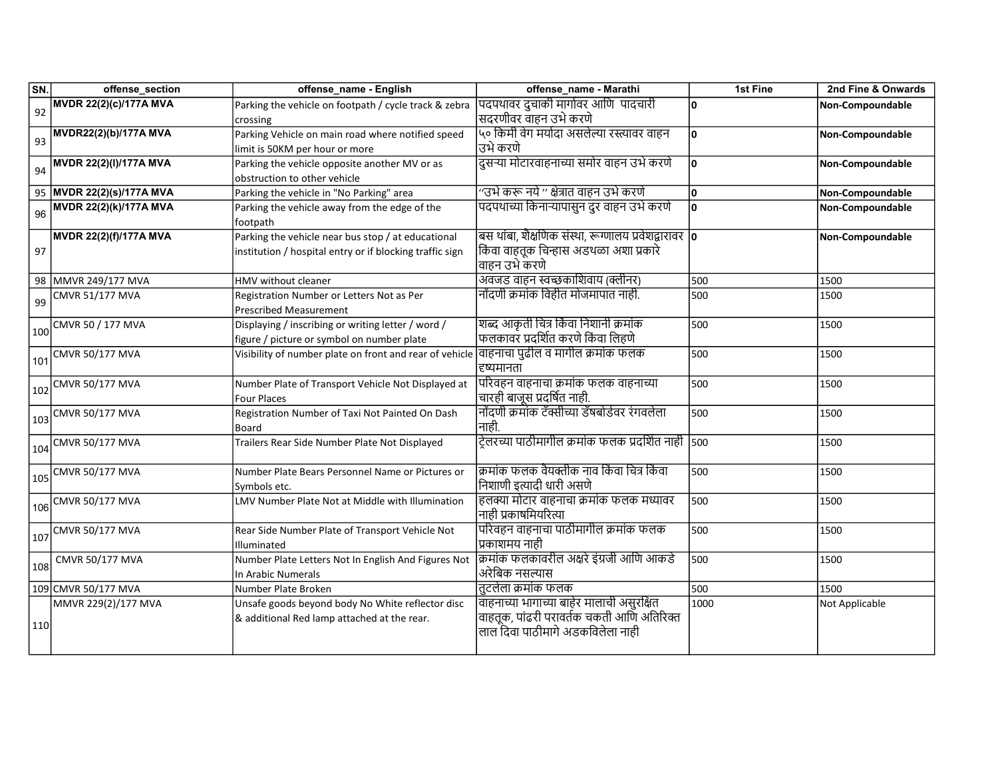| SN. | offense_section                                  | offense_name - English                                                                    | offense_name - Marathi                                | 1st Fine | 2nd Fine & Onwards |
|-----|--------------------------------------------------|-------------------------------------------------------------------------------------------|-------------------------------------------------------|----------|--------------------|
| 92  | MVDR 22(2)(c)/177A MVA                           | Parking the vehicle on footpath / cycle track & zebra                                     | पदपथावर दुचाकी मार्गावर आणि पादचारी                   | ١o       | Non-Compoundable   |
|     |                                                  | crossing                                                                                  | सदरणीवर वाहन उभे करणे                                 |          |                    |
| 93  | MVDR22(2)(b)/177A MVA                            | Parking Vehicle on main road where notified speed                                         | ५० किमी वेग मर्यादा असलेल्या रस्त्यावर वाहन           | ١o       | Non-Compoundable   |
|     |                                                  | limit is 50KM per hour or more                                                            | उभे करणे                                              |          |                    |
| 94  | MVDR 22(2)(I)/177A MVA                           | Parking the vehicle opposite another MV or as                                             | दुसऱ्या मोटारवाहनाच्या समोर वाहन उभे करणे             | ١o       | Non-Compoundable   |
|     |                                                  | obstruction to other vehicle                                                              |                                                       |          |                    |
|     | 95 MVDR 22(2)(s)/177A MVA                        | Parking the vehicle in "No Parking" area                                                  | ''उभे करू नये '' क्षेत्रात वाहन उभे करणे              | ١o       | Non-Compoundable   |
| 96  | MVDR 22(2)(k)/177A MVA                           | Parking the vehicle away from the edge of the                                             | पदपथाच्या किनाऱ्यापासुन दुर वाहन उभे करणे             | ١o       | Non-Compoundable   |
|     |                                                  | footpath                                                                                  |                                                       |          |                    |
|     | MVDR 22(2)(f)/177A MVA                           | Parking the vehicle near bus stop / at educational                                        | बस थांबा, शैक्षणिक संस्था, रूग्णालय प्रवेशद्वारावर  o |          | Non-Compoundable   |
| 97  |                                                  | institution / hospital entry or if blocking traffic sign                                  | किंवा वाहतूक चिन्हास अडथळा अशा प्रकारे                |          |                    |
|     |                                                  |                                                                                           | वाहन उभे करणे                                         |          |                    |
|     | 98 MMVR 249/177 MVA                              | HMV without cleaner                                                                       | अवजड वाहन स्वच्छकाशिवाय (क्लीनर)                      | 500      | 1500               |
| 99  | <b>CMVR 51/177 MVA</b>                           | Registration Number or Letters Not as Per                                                 | नोंदणी क्रमांक विहीत मोजमापात नाही.                   | 500      | 1500               |
|     |                                                  | <b>Prescribed Measurement</b>                                                             |                                                       |          |                    |
|     | 100 CMVR 50 / 177 MVA                            | Displaying / inscribing or writing letter / word /                                        | शब्द आकृती चित्र किंवा निशानी क्रमांक                 | 500      | 1500               |
|     |                                                  | figure / picture or symbol on number plate                                                | फलकावर प्रदर्शित करणे किंवा लिहणे                     |          |                    |
| 101 | CMVR 50/177 MVA                                  | Visibility of number plate on front and rear of vehicle वाहनाचा पुढील व मागील क्रमांक फलक |                                                       | 500      | 1500               |
|     |                                                  |                                                                                           | दृष्यमानता                                            |          |                    |
|     | $\frac{1}{102}$ CMVR 50/177 MVA                  | Number Plate of Transport Vehicle Not Displayed at                                        | परिवहन वाहनाचा क्रमांक फलक वाहनाच्या                  | 500      | 1500               |
|     |                                                  | <b>Four Places</b>                                                                        | चारही बाजुस प्रदर्षित नाही.                           |          |                    |
|     | $\frac{1}{103}$ CMVR 50/177 MVA                  | Registration Number of Taxi Not Painted On Dash                                           | नोंदणी क्रमांक टॅक्सीच्या डॅषबोर्डवर रंगवलेला         | 500      | 1500               |
|     |                                                  | Board                                                                                     | नाही.                                                 |          |                    |
|     | $\frac{1}{104}$ CMVR 50/177 MVA                  | Trailers Rear Side Number Plate Not Displayed                                             | ट्रेलरच्या पाठीमागील क्रमांक फलक प्रदर्शित नाही  500  |          | 1500               |
|     |                                                  |                                                                                           |                                                       |          |                    |
|     | $\frac{1}{105}$ CMVR 50/177 MVA                  | Number Plate Bears Personnel Name or Pictures or                                          | क्रमांक फलक वैयक्तीक नाव किंवा चित्र किंवा            | 500      | 1500               |
|     |                                                  | Symbols etc.                                                                              | निशाणी इत्यादी धारी असणे                              |          |                    |
|     | $106$ CMVR 50/177 MVA                            | LMV Number Plate Not at Middle with Illumination                                          | हलक्या मोटार वाहनाचा क्रमांक फलक मध्यावर              | 500      | 1500               |
|     |                                                  |                                                                                           | नाही प्रकाषमियरित्या                                  |          |                    |
|     | $\left  \frac{107}{107} \right $ CMVR 50/177 MVA | Rear Side Number Plate of Transport Vehicle Not                                           | परिवहन वाहनाचा पाठीमागील क्रमांक फलक                  | 500      | 1500               |
|     |                                                  | Illuminated                                                                               | प्रकाशमय नाही                                         |          |                    |
| 108 | CMVR 50/177 MVA                                  | Number Plate Letters Not In English And Figures Not                                       | क्रिमांक फलकावरील अक्षरे इंग्रजी आणि आकडे             | 500      | 1500               |
|     |                                                  | In Arabic Numerals                                                                        | अरेबिक नसल्यास                                        |          |                    |
|     | 109 CMVR 50/177 MVA                              | Number Plate Broken                                                                       | तटलेला क्रमांक फलक                                    | 500      | 1500               |
|     | MMVR 229(2)/177 MVA                              | Unsafe goods beyond body No White reflector disc                                          | वाहनाच्या भागाच्या बाहेर मालाची असुरक्षित             | 1000     | Not Applicable     |
| 110 |                                                  | & additional Red lamp attached at the rear.                                               | वाहतूक, पांढरी परावर्तक चकती आणि अतिरिक्त             |          |                    |
|     |                                                  |                                                                                           | लाल दिवा पाठीमागे अडकविलेला नाही                      |          |                    |
|     |                                                  |                                                                                           |                                                       |          |                    |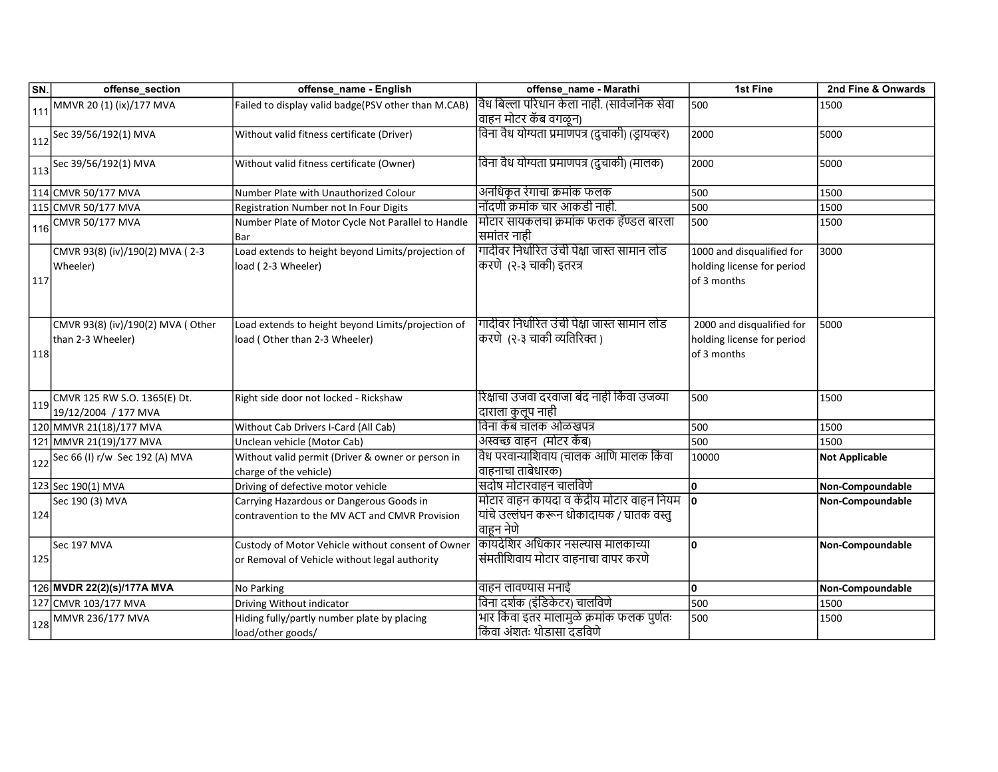| SN. | offense_section                                        | offense_name - English                                                                             | offense_name - Marathi                                                                                 | 1st Fine                                                               | 2nd Fine & Onwards    |
|-----|--------------------------------------------------------|----------------------------------------------------------------------------------------------------|--------------------------------------------------------------------------------------------------------|------------------------------------------------------------------------|-----------------------|
|     | 111 MMVR 20 (1) (ix)/177 MVA                           | Failed to display valid badge(PSV other than M.CAB)                                                | वैध बिल्ला परिधान केला नाही. (सार्वजनिक सेवा                                                           | 500                                                                    | 1500                  |
|     |                                                        |                                                                                                    | वाहन मोटर कॅब वगळून)                                                                                   |                                                                        |                       |
|     | $112$ Sec 39/56/192(1) MVA                             | Without valid fitness certificate (Driver)                                                         | विना वैध योग्यता प्रमाणपत्र (दुचाकी) (ड्रायव्हर)                                                       | 2000                                                                   | 5000                  |
|     | $113$ Sec 39/56/192(1) MVA                             | Without valid fitness certificate (Owner)                                                          | विना वैध योग्यता प्रमाणपत्र (दुचाकी) (मालक)                                                            | 2000                                                                   | 5000                  |
|     | 114 CMVR 50/177 MVA                                    | Number Plate with Unauthorized Colour                                                              | अनधिकृत रंगाचा क्रमांक फलक                                                                             | 500                                                                    | 1500                  |
|     | 115 CMVR 50/177 MVA                                    | Registration Number not In Four Digits                                                             | नोंदणी क्रमांक चार आकडी नाही.                                                                          | 500                                                                    | 1500                  |
| 116 | <b>CMVR 50/177 MVA</b>                                 | Number Plate of Motor Cycle Not Parallel to Handle<br>Bar                                          | मोिटार सायकलचा क्रमांक फलक हॅण्डल बारला<br> समांतर नाही                                                | 500                                                                    | 1500                  |
| 117 | CMVR 93(8) (iv)/190(2) MVA (2-3<br>Wheeler)            | Load extends to height beyond Limits/projection of<br>load (2-3 Wheeler)                           | गादीवर निर्धारित उंची पेक्षा जास्त सामान लोड<br>करणे (२-३ चाकी) इतरत्र                                 | 1000 and disqualified for<br>holding license for period<br>of 3 months | 3000                  |
| 118 | CMVR 93(8) (iv)/190(2) MVA (Other<br>than 2-3 Wheeler) | Load extends to height beyond Limits/projection of<br>load (Other than 2-3 Wheeler)                | गादीवर निर्धारित उंची पेक्षा जास्त सामान लोड<br>करणे) (२-३ चाकी व्यतिरिक्त)                            | 2000 and disqualified for<br>holding license for period<br>of 3 months | 5000                  |
| 119 | CMVR 125 RW S.O. 1365(E) Dt.<br>19/12/2004 / 177 MVA   | Right side door not locked - Rickshaw                                                              | रिक्षाचा उजवा दरवाजा बंद नाही किंवा उजव्या<br>दाराला कुलूप नाही                                        | 500                                                                    | 1500                  |
|     | 120 MMVR 21(18)/177 MVA                                | Without Cab Drivers I-Card (All Cab)                                                               | विना कॅब चालक ओळखपत्र                                                                                  | 500                                                                    | 1500                  |
|     | 121 MMVR 21(19)/177 MVA                                | Unclean vehicle (Motor Cab)                                                                        | अस्वच्छ वाहन)(मोटर कॅब)                                                                                | 500                                                                    | 1500                  |
| 122 | Sec 66 (I) r/w Sec 192 (A) MVA                         | Without valid permit (Driver & owner or person in<br>charge of the vehicle)                        | वैध परवान्याशिवाय (चालक आणि मालक किंवा<br>वाहनाचा ताबेधारक)                                            | 10000                                                                  | <b>Not Applicable</b> |
|     | 123 Sec 190(1) MVA                                     | Driving of defective motor vehicle                                                                 | सदोष मोटारवाहन चालविणे                                                                                 | ١o                                                                     | Non-Compoundable      |
| 124 | Sec 190 (3) MVA                                        | Carrying Hazardous or Dangerous Goods in<br>contravention to the MV ACT and CMVR Provision         | मोटार वाहन कायदा व केंद्रीय मोटार वाहन नियम<br>यांचे उल्लंघन करून धोकादायक / घातक वस्तु<br>'वाहून नेणे | ١o                                                                     | Non-Compoundable      |
| 125 | Sec 197 MVA                                            | Custody of Motor Vehicle without consent of Owner<br>or Removal of Vehicle without legal authority | किॉयदेशिर अधिकार नसल्यास मालकाच्या<br>संमतीशिवाय मोटार वाहनाचा वापर करणे                               | ١o                                                                     | Non-Compoundable      |
|     | 126 MVDR 22(2)(s)/177A MVA                             | No Parking                                                                                         | वाहन लावण्यास मनाई                                                                                     | ١o                                                                     | Non-Compoundable      |
|     | 127 CMVR 103/177 MVA                                   | Driving Without indicator                                                                          | विना दर्शक (इंडिकेटर) चालविणे                                                                          | 500                                                                    | 1500                  |
| 128 | MMVR 236/177 MVA                                       | Hiding fully/partly number plate by placing<br>load/other goods/                                   | भार किंवा इतर मालामुळे क्रमांक फलक पुर्णतः<br>किंवा अंशतः थोडासा दडविणे                                | 500                                                                    | 1500                  |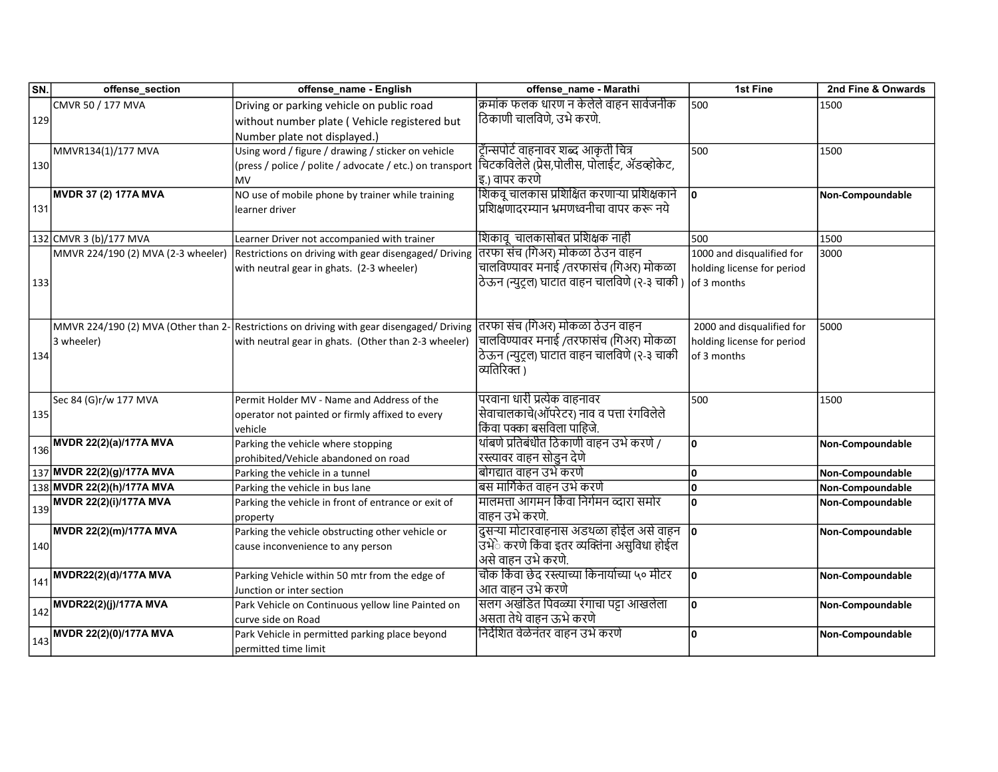| SN. | offense_section                    | offense_name - English                                                                                                     | offense_name - Marathi                         | 1st Fine                   | 2nd Fine & Onwards |
|-----|------------------------------------|----------------------------------------------------------------------------------------------------------------------------|------------------------------------------------|----------------------------|--------------------|
|     | CMVR 50 / 177 MVA                  | Driving or parking vehicle on public road                                                                                  | क्रमांक फलक धारण न केलेले वाहन सार्वजनीक       | 500                        | 1500               |
| 129 |                                    | without number plate (Vehicle registered but                                                                               | ठिकाणी चालविणे, उभे करणे.                      |                            |                    |
|     |                                    | Number plate not displayed.)                                                                                               |                                                |                            |                    |
|     | MMVR134(1)/177 MVA                 | Using word / figure / drawing / sticker on vehicle                                                                         | ट्रॅान्सपोर्ट वाहनावर शब्द आकृती चित्र         | 500                        | 1500               |
| 130 |                                    | (press / police / polite / advocate / etc.) on transport  चिटकविलेले (प्रेस,पोलीस, पोलाईट, ॲडव्होकेट,                      |                                                |                            |                    |
|     |                                    | lмv                                                                                                                        | इ.) वापर करणे                                  |                            |                    |
|     | <b>MVDR 37 (2) 177A MVA</b>        | NO use of mobile phone by trainer while training                                                                           | शिकवू चालकास प्रशिक्षित करणाऱ्या प्रशिक्षकाने  | lo.                        | Non-Compoundable   |
| 131 |                                    | learner driver                                                                                                             | प्रशिक्षणादरम्यान भ्रमणध्वनीचा वापर करू नये    |                            |                    |
|     |                                    |                                                                                                                            |                                                |                            |                    |
|     | 132 CMVR 3 (b)/177 MVA             | Learner Driver not accompanied with trainer                                                                                | शिकावू  चालकासोबत प्रशिक्षक नाही               | 500                        | 1500               |
|     | MMVR 224/190 (2) MVA (2-3 wheeler) | Restrictions on driving with gear disengaged/Driving                                                                       | तिरफा संच (गिअर) मोकळा ठेउन वाहन               | 1000 and disqualified for  | 3000               |
|     |                                    | with neutral gear in ghats. (2-3 wheeler)                                                                                  | चालविण्यावर मनाई /तरफासंच (गिअर) मोकळा         | holding license for period |                    |
| 133 |                                    |                                                                                                                            | ठेऊन (न्युट्ल) घाटात वाहन चालविणे (२-३ चाकी )  | lof 3 months               |                    |
|     |                                    |                                                                                                                            |                                                |                            |                    |
|     |                                    |                                                                                                                            |                                                |                            |                    |
|     |                                    | MMVR 224/190 (2) MVA (Other than 2- Restrictions on driving with gear disengaged/ Driving  तरफा संच (गिअर) मोकळा ठेउन वाहन |                                                | 2000 and disqualified for  | 5000               |
|     | 3 wheeler)                         | with neutral gear in ghats. (Other than 2-3 wheeler)                                                                       | चालविण्यावर मनाई /तरफासंच (गिअर) मोकळा         | holding license for period |                    |
| 134 |                                    |                                                                                                                            | ठेऊन (न्युट्ल) घाटात वाहन चालविणे (२-३ चाकी    | of 3 months                |                    |
|     |                                    |                                                                                                                            | व्यतिरिक्त)                                    |                            |                    |
|     |                                    |                                                                                                                            |                                                |                            |                    |
|     | Sec 84 (G)r/w 177 MVA              | Permit Holder MV - Name and Address of the                                                                                 | परवाना धारी प्रत्येक वाहनावर                   | 500                        | 1500               |
| 135 |                                    | operator not painted or firmly affixed to every                                                                            | सेवाचालकाचे(ऑपरेटर) नाव व पत्ता रंगविलेले      |                            |                    |
|     |                                    | vehicle                                                                                                                    | किंवा पक्का बसविला पाहिजे.                     |                            |                    |
|     | MVDR 22(2)(a)/177A MVA             | Parking the vehicle where stopping                                                                                         | थांबणे प्रतिबंधीत ठिकाणी वाहन उभे करणे /       | ۱o                         | Non-Compoundable   |
| 136 |                                    | prohibited/Vehicle abandoned on road                                                                                       | रस्त्यावर वाहन सोडुन देणे                      |                            |                    |
|     | 137 MVDR 22(2)(g)/177A MVA         | Parking the vehicle in a tunnel                                                                                            | बोगद्यात वाहन उभे करणे                         | ١o                         | Non-Compoundable   |
|     | 138 MVDR 22(2)(h)/177A MVA         | Parking the vehicle in bus lane                                                                                            | बस मार्गिकेत वाहन उभे करणे                     | O                          | Non-Compoundable   |
| 139 | MVDR 22(2)(i)/177A MVA             | Parking the vehicle in front of entrance or exit of                                                                        | मालमत्ता आगमन किंवा निर्गमन व्दारा समोर        | 0                          | Non-Compoundable   |
|     |                                    | property                                                                                                                   | वाहन उभे करणे.                                 |                            |                    |
|     | MVDR 22(2)(m)/177A MVA             | Parking the vehicle obstructing other vehicle or                                                                           | दुसऱ्या मोटारवाहनास अडथळा होईल असे वाहन  o     |                            | Non-Compoundable   |
| 140 |                                    | cause inconvenience to any person                                                                                          | उभेे करणे किंवा इतर व्यक्तिंना असुविधा होईल    |                            |                    |
|     |                                    |                                                                                                                            | असे वाहन उभे करणे.                             |                            |                    |
| 141 | MVDR22(2)(d)/177A MVA              | Parking Vehicle within 50 mtr from the edge of                                                                             | चौक किंवा छेद रस्त्याच्या किनार्याच्या ५० मीटर | ١o                         | Non-Compoundable   |
|     |                                    | Junction or inter section                                                                                                  | आत वाहन उभे करणे                               |                            |                    |
| 142 | MVDR22(2)(j)/177A MVA              | Park Vehicle on Continuous yellow line Painted on                                                                          | सलग अखंडित पिवळ्या रंगाचा पट्टा आखलेला         | ١o                         | Non-Compoundable   |
|     |                                    | curve side on Road                                                                                                         | असता तेथे वाहन ऊभे करणे                        |                            |                    |
| 143 | MVDR 22(2)(0)/177A MVA             | Park Vehicle in permitted parking place beyond                                                                             | निर्देशित वेळेनंतर वाहन उभे करणे               | ١o                         | Non-Compoundable   |
|     |                                    | permitted time limit                                                                                                       |                                                |                            |                    |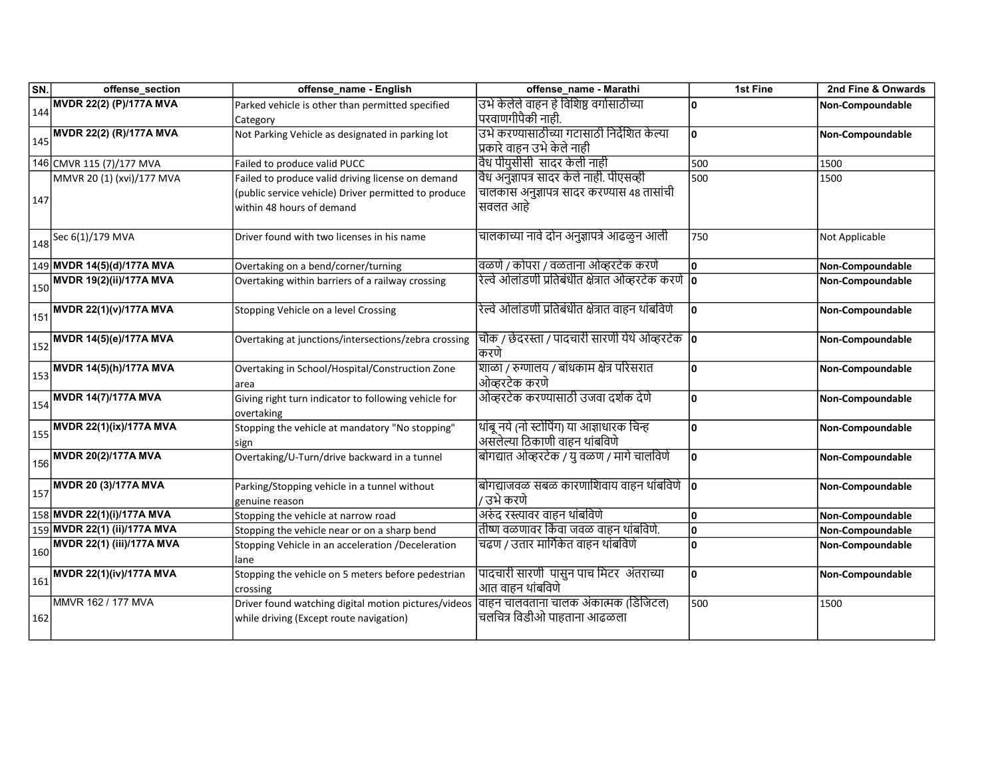| SN. | offense_section                           | offense_name - English                               | offense_name - Marathi                                       | 1st Fine | 2nd Fine & Onwards      |
|-----|-------------------------------------------|------------------------------------------------------|--------------------------------------------------------------|----------|-------------------------|
| 144 | <b>MVDR 22(2) (P)/177A MVA</b>            | Parked vehicle is other than permitted specified     | उभे केलेले वाहन हे विशिष्ठ वर्गासाठीच्या                     | ١o       | <b>Non-Compoundable</b> |
|     |                                           | Category                                             | परवाणगीपैकी नाही.                                            |          |                         |
| 145 | MVDR 22(2) (R)/177A MVA                   | Not Parking Vehicle as designated in parking lot     | उभे करण्यासाठीच्या गटासाठी निर्देशित केल्या                  | ١o       | Non-Compoundable        |
|     |                                           |                                                      | प्रकारे वाहन उभे केले नाही                                   |          |                         |
|     | 146 CMVR 115 (7)/177 MVA                  | Failed to produce valid PUCC                         | वैध पीयुसीसी  सादर केली नाही                                 | 500      | 1500                    |
|     | MMVR 20 (1) (xvi)/177 MVA                 | Failed to produce valid driving license on demand    | विध अनुज्ञापत्र सादर केले नाही. पीएसव्ही                     | 500      | 1500                    |
| 147 |                                           | (public service vehicle) Driver permitted to produce | चालकास अनुज्ञापत्र सादर करण्यास 48 तासांची                   |          |                         |
|     |                                           | within 48 hours of demand                            | सवलत आहे                                                     |          |                         |
|     | $148$ Sec 6(1)/179 MVA                    | Driver found with two licenses in his name           | चालकाच्या नावे दोन अनुज्ञापत्रे आढळुन आली                    | 750      | Not Applicable          |
|     |                                           |                                                      |                                                              |          |                         |
|     | 149 MVDR 14(5)(d)/177A MVA                | Overtaking on a bend/corner/turning                  | वळणे / कोपरा / वळताना ओव्हरटेक करणे                          | ١o       | Non-Compoundable        |
|     | $\frac{1}{150}$ MVDR 19(2)(ii)/177A MVA   | Overtaking within barriers of a railway crossing     | रेल्वे ओलांडणी प्रतिबंधीत क्षेत्रात ओव्हरटेक करणे   <b>o</b> |          | Non-Compoundable        |
| 151 | <b>MVDR 22(1)(v)/177A MVA</b>             | Stopping Vehicle on a level Crossing                 | रेल्वे ओलांडणी प्रतिबंधीत क्षेत्रात वाहन थांबविणे            | ١o       | Non-Compoundable        |
|     |                                           |                                                      | चौक / छेदरस्ता / पादचारी सारणी येथे ओव्हरटेक <b> o</b>       |          |                         |
|     | $\big _{152}\big $ MVDR 14(5)(e)/177A MVA | Overtaking at junctions/intersections/zebra crossing | किरणे                                                        |          | Non-Compoundable        |
| 153 | MVDR 14(5)(h)/177A MVA                    | Overtaking in School/Hospital/Construction Zone      | शाळा / रुग्णालय / बांधकाम क्षेत्र परिसरात                    | ۱o       | Non-Compoundable        |
|     |                                           | larea                                                | ओव्हरटेक करणे                                                |          |                         |
| 154 | <b>MVDR 14(7)/177A MVA</b>                | Giving right turn indicator to following vehicle for | ओव्हरटेक करण्यासाठी उजवा दर्शक देणे                          | ١o       | Non-Compoundable        |
|     |                                           | lovertaking                                          |                                                              |          |                         |
| 155 | MVDR 22(1)(ix)/177A MVA                   | Stopping the vehicle at mandatory "No stopping"      | थांबू नये (नो स्टोपिंग) या आज्ञाधारक चिन्ह                   | ۱o       | Non-Compoundable        |
|     |                                           | sign                                                 | असलेल्या ठिकाणी वाहन थांबविणे                                |          |                         |
|     | $\frac{1}{156}$ MVDR 20(2)/177A MVA       | Overtaking/U-Turn/drive backward in a tunnel         | बोगद्यात ओव्हरटेक / यु वळण / मागे चालविणे                    | ١o       | Non-Compoundable        |
|     | MVDR 20 (3)/177A MVA                      | Parking/Stopping vehicle in a tunnel without         | बोगद्याजवळ सबळ कारणाशिवाय वाहन थांबविणे <b> o</b>            |          | Non-Compoundable        |
| 157 |                                           | genuine reason                                       | / उभे करणे                                                   |          |                         |
|     | 158 MVDR 22(1)(i)/177A MVA                | Stopping the vehicle at narrow road                  | अरुंद रस्त्यावर वाहन थांबविणे                                | ١o       | Non-Compoundable        |
|     | 159 MVDR 22(1) (ii)/177A MVA              | Stopping the vehicle near or on a sharp bend         | तीष्ण वळणावर किंवा जवळ वाहन थांबविणे.                        | ۱o       | Non-Compoundable        |
|     | $\frac{1}{160}$ MVDR 22(1) (iii)/177A MVA | Stopping Vehicle in an acceleration /Deceleration    | चढण / उतार मार्गिकेत वाहन थांबविणे                           | ١o       | Non-Compoundable        |
|     |                                           | lane                                                 |                                                              |          |                         |
| 161 | <b>MVDR 22(1)(iv)/177A MVA</b>            | Stopping the vehicle on 5 meters before pedestrian   | पादचारी सारणी  पासुन पाच मिटर  अंतराच्या                     | ١o       | Non-Compoundable        |
|     |                                           | crossing                                             | आत वाहन थांबविणे                                             |          |                         |
|     | MMVR 162 / 177 MVA                        | Driver found watching digital motion pictures/videos | वाहन चालवताना चालक अंकात्मक (डिजिटल)                         | 500      | 1500                    |
| 162 |                                           | while driving (Except route navigation)              | चलचित्र विडीओ पाहताना आढळला                                  |          |                         |
|     |                                           |                                                      |                                                              |          |                         |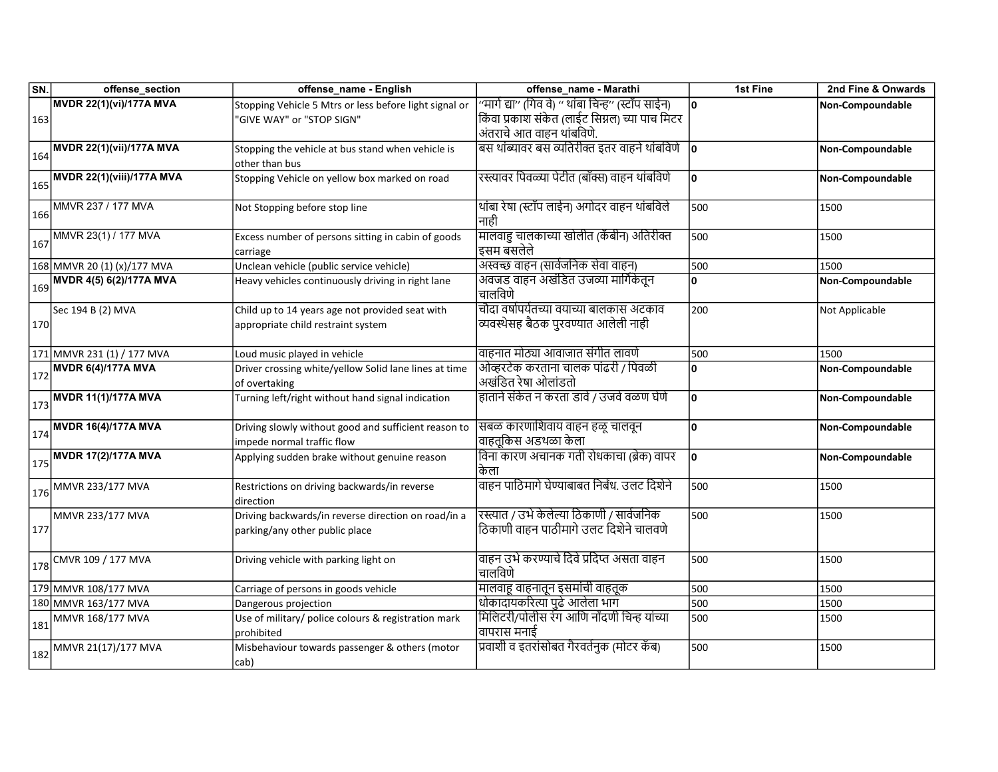| SN. | offense_section                                   | offense_name - English                                                                | offense_name - Marathi                                                               | 1st Fine | 2nd Fine & Onwards |
|-----|---------------------------------------------------|---------------------------------------------------------------------------------------|--------------------------------------------------------------------------------------|----------|--------------------|
|     | MVDR 22(1)(vi)/177A MVA                           | Stopping Vehicle 5 Mtrs or less before light signal or                                | ''मार्ग द्या'' (गिव वे) '' थांबा चिन्ह'' (स्टॉप साईन)                                | ١o       | Non-Compoundable   |
| 163 |                                                   | "GIVE WAY" or "STOP SIGN"                                                             | किंवा प्रकाश संकेत (लाईट सिग्नल) च्या पाच मिटर                                       |          |                    |
|     |                                                   |                                                                                       | अंतराचे आत वाहन थांबविणे.                                                            |          |                    |
|     | MVDR 22(1)(vii)/177A MVA                          | Stopping the vehicle at bus stand when vehicle is                                     | बस थांब्यावर बस व्यतिरीक्त इतर वाहने थांबविणे <b> o</b>                              |          | Non-Compoundable   |
| 164 |                                                   | other than bus                                                                        |                                                                                      |          |                    |
| 165 | <b>MVDR 22(1)(viii)/177A MVA</b>                  | Stopping Vehicle on yellow box marked on road                                         | रस्त्यावर पिवळ्या पेटीत (बॉक्स) वाहन थांबविणे                                        | ١o       | Non-Compoundable   |
| 166 | MMVR 237 / 177 MVA                                | Not Stopping before stop line                                                         | थांबा रेषा (स्टॉप लाईन) अगोदर वाहन थांबविले<br>नाही                                  | 500      | 1500               |
| 167 | MMVR 23(1) / 177 MVA                              | Excess number of persons sitting in cabin of goods<br>carriage                        | मालवाहु चालकाच्या खोलीत (कॅबीन) अतिरीक्त<br>इसम बसलेले                               | 500      | 1500               |
|     | 168 MMVR 20 (1) (x)/177 MVA                       | Unclean vehicle (public service vehicle)                                              | अस्वच्छ वाहन (सार्वजनिक सेवा वाहन)                                                   | 500      | 1500               |
| 169 | MVDR 4(5) 6(2)/177A MVA                           | Heavy vehicles continuously driving in right lane                                     | अवजड वाहन अखंडित उजव्या मार्गिकेतून<br>चालविणे                                       | O        | Non-Compoundable   |
| 170 | Sec 194 B (2) MVA                                 | Child up to 14 years age not provided seat with<br>appropriate child restraint system | चौदा वर्षापर्यतच्या वयाच्या बालकास अटकाव<br>व्यवस्थेसह बैठक पुरवण्यात आलेली नाही     | 200      | Not Applicable     |
|     | 171 MMVR 231 (1) / 177 MVA                        | Loud music played in vehicle                                                          | वाहनात मोठ्या आवाजात संगीत लावणे                                                     | 500      | 1500               |
| 172 | <b>MVDR 6(4)/177A MVA</b>                         | Driver crossing white/yellow Solid lane lines at time<br>of overtaking                | ओव्हरटेक करताना चालक पांढरी / पिवळी<br>अखंडित रेषा ओलांडतो                           | O        | Non-Compoundable   |
| 173 | <b>MVDR 11(1)/177A MVA</b>                        | Turning left/right without hand signal indication                                     | हाताने संकेत न करता डावे / उजवे वळण घेणे                                             | ١o       | Non-Compoundable   |
| 174 | <b>MVDR 16(4)/177A MVA</b>                        | Driving slowly without good and sufficient reason to<br>impede normal traffic flow    | सबळ कारणाशिवाय वाहन हळू चालवून<br>वाहतूकिस अडथळा केला                                | ۱o       | Non-Compoundable   |
| 175 | <b>MVDR 17(2)/177A MVA</b>                        | Applying sudden brake without genuine reason                                          | विना कारण अचानक गती रोधकाचा (ब्रेक) वापर<br>किला                                     | ۱o       | Non-Compoundable   |
| 176 | MMVR 233/177 MVA                                  | Restrictions on driving backwards/in reverse<br>direction                             | वाहन पाठिमागे घेण्याबाबत निर्बंध. उलट दिशेने                                         | 500      | 1500               |
| 177 | MMVR 233/177 MVA                                  | Driving backwards/in reverse direction on road/in a<br>parking/any other public place | रस्त्यात / उभे केलेल्या ठिकाणी / सार्वजनिक<br>ठिकाणी वाहन पाठीमागे उलट दिशेने चालवणे | 500      | 1500               |
|     | $\left  \frac{1}{178} \right $ CMVR 109 / 177 MVA | Driving vehicle with parking light on                                                 | वाहन उभे करण्याचे दिवे प्रदिप्त असता वाहन<br>चालविणे                                 | 500      | 1500               |
|     | 179 MMVR 108/177 MVA                              | Carriage of persons in goods vehicle                                                  | मालवाहू वाहनातून इसमांची वाहतूक                                                      | 500      | 1500               |
|     | 180 MMVR 163/177 MVA                              | Dangerous projection                                                                  | धोकादायकरित्या पुढे आलेला भाग                                                        | 500      | 1500               |
| 181 | MMVR 168/177 MVA                                  | Use of military/ police colours & registration mark<br>prohibited                     | मिलिटरी/पोलीस रंग आणि नोंदणी चिन्ह यांच्या<br>वापरास मनाई                            | 500      | 1500               |
| 182 | MMVR 21(17)/177 MVA                               | Misbehaviour towards passenger & others (motor<br>cab)                                | प्रवाशी व इतरांसोबत गैरवर्तनुक (मोटर कॅब)                                            | 500      | 1500               |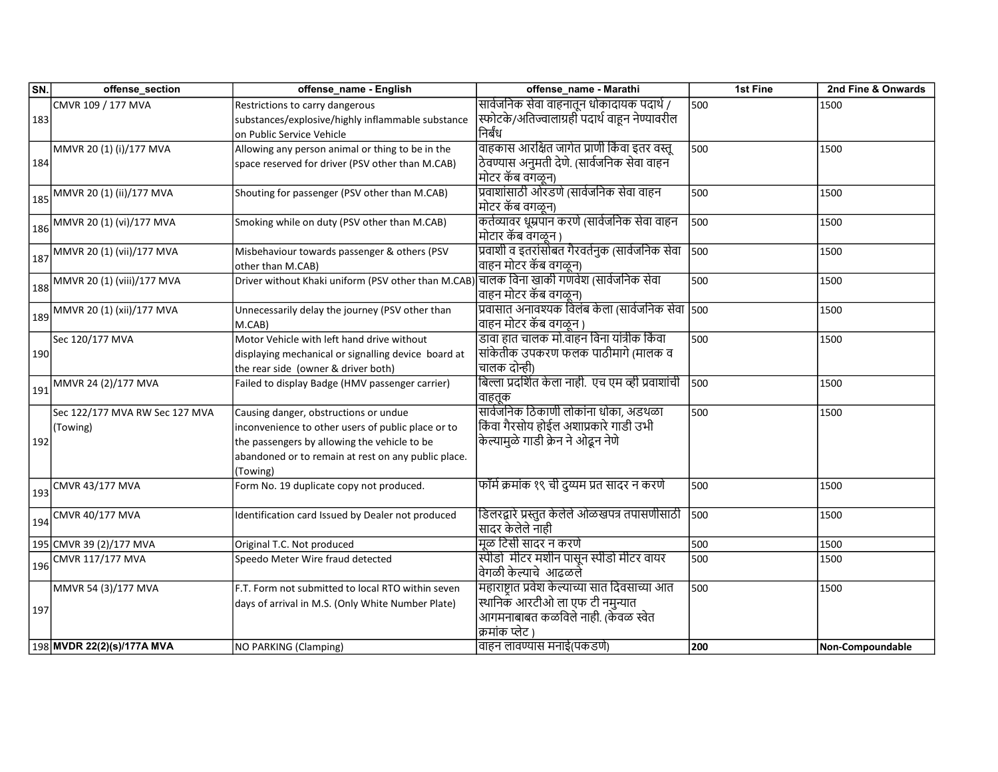| SN. | offense_section                                      | offense_name - English                                                                   | offense_name - Marathi                            | 1st Fine | 2nd Fine & Onwards |
|-----|------------------------------------------------------|------------------------------------------------------------------------------------------|---------------------------------------------------|----------|--------------------|
|     | CMVR 109 / 177 MVA                                   | Restrictions to carry dangerous                                                          | सार्वजनिक सेवा वाहनातून धोकादायक पदार्थ /         | 500      | 1500               |
| 183 |                                                      | substances/explosive/highly inflammable substance                                        | स्फोटके/अतिज्वालाग्रही पदार्थ वाहून नेण्यावरील    |          |                    |
|     |                                                      | on Public Service Vehicle                                                                | निर्बंध                                           |          |                    |
|     | MMVR 20 (1) (i)/177 MVA                              | Allowing any person animal or thing to be in the                                         | वाहकास आरक्षित जागेत प्राणी किंवा इतर वस्तू       | 500      | 1500               |
| 184 |                                                      | space reserved for driver (PSV other than M.CAB)                                         | ठेवण्यास अनुमती देणे. (सार्वजनिक सेवा वाहन        |          |                    |
|     |                                                      |                                                                                          | मोटर कॅब वगळून)                                   |          |                    |
|     | MMVR 20 (1) (ii)/177 MVA                             | Shouting for passenger (PSV other than M.CAB)                                            | प्रवाशांसाठी ओरडणे (सार्वजनिक सेवा वाहन           | 500      | 1500               |
| 185 |                                                      |                                                                                          | मोटर कॅब वगळून)                                   |          |                    |
|     | $186$ MMVR 20 (1) (vi)/177 MVA                       | Smoking while on duty (PSV other than M.CAB)                                             | कर्तव्यावर धूम्रपान करणे (सार्वजनिक सेवा वाहन     | 500      | 1500               |
|     |                                                      |                                                                                          | मोटार कॅब वगळून )                                 |          |                    |
|     | $\frac{1}{187}$ MMVR 20 (1) (vii)/177 MVA            | Misbehaviour towards passenger & others (PSV                                             | प्रवाशी व इतरांसोबत गैरवर्तनुक (सार्वजनिक सेवा    | 500      | 1500               |
|     |                                                      | other than M.CAB)                                                                        | वाहन मोटर कॅब वगळून)                              |          |                    |
|     | $\frac{1}{188}$ MMVR 20 $\frac{1}{(1)(111)/177}$ MVA | Driver without Khaki uniform (PSV other than M.CAB) चालक विना खाकी गणवेश (सार्वजनिक सेवा |                                                   | 500      | 1500               |
|     |                                                      |                                                                                          | वाहन मोटर कॅब वगळून)                              |          |                    |
|     | $\frac{1}{189}$ MMVR 20 (1) (xii)/177 MVA            | Unnecessarily delay the journey (PSV other than                                          | प्रवासात अनावश्यक विलंब केला (सार्वजनिक सेवा  500 |          | 1500               |
|     |                                                      | M.CAB)                                                                                   | वाहन मोटर कॅब वगळून )                             |          |                    |
|     | Sec 120/177 MVA                                      | Motor Vehicle with left hand drive without                                               | डावा हात चालक मो.वाहन विना यांत्रीक किंवा         | 500      | 1500               |
| 190 |                                                      | displaying mechanical or signalling device board at                                      | सांकेतीक उपकरण फलक पाठीमागे (मालक व               |          |                    |
|     |                                                      | the rear side (owner & driver both)                                                      | चालक दोन्ही)                                      |          |                    |
|     | MMVR 24 (2)/177 MVA                                  | Failed to display Badge (HMV passenger carrier)                                          | बिल्ला प्रदर्शित केला नाही. एच एम व्ही प्रवाशांची | 500      | 1500               |
| 191 |                                                      |                                                                                          | वाहतक                                             |          |                    |
|     | Sec 122/177 MVA RW Sec 127 MVA                       | Causing danger, obstructions or undue                                                    | सार्वजनिक ठिकाणी लोकांना धोका, अडथळा              | 500      | 1500               |
|     | (Towing)                                             | inconvenience to other users of public place or to                                       | किंवा गैरसोय होईल अशाप्रकारे गाडी उभी             |          |                    |
| 192 |                                                      | the passengers by allowing the vehicle to be                                             | केल्यामुळे गाडी क्रेन ने ओद्धन नेणे               |          |                    |
|     |                                                      | abandoned or to remain at rest on any public place.                                      |                                                   |          |                    |
|     |                                                      | (Towing)                                                                                 |                                                   |          |                    |
|     | $\left  \frac{193}{193} \right $ CMVR 43/177 MVA     | Form No. 19 duplicate copy not produced.                                                 | फॉर्म क्रमांक १९ ची दुय्यम प्रत सादर न करणे       | 500      | 1500               |
|     |                                                      |                                                                                          |                                                   |          |                    |
|     | $\left  \frac{194}{194} \right $ CMVR 40/177 MVA     | Identification card Issued by Dealer not produced                                        | डिलरद्वारे प्रस्तुत केलेले ओळखपत्र तपासणीसाठी     | 500      | 1500               |
|     |                                                      |                                                                                          | सादर केलेले नाही                                  |          |                    |
|     | 195 CMVR 39 (2)/177 MVA                              | Original T.C. Not produced                                                               | मूळ टिसी सादर न करणे                              | 500      | 1500               |
|     | $\frac{1}{196}$ CMVR 117/177 MVA                     | Speedo Meter Wire fraud detected                                                         | स्पीडो  मीटर मशीन पासून स्पीडो मीटर वायर          | 500      | 1500               |
|     |                                                      |                                                                                          | वेगळी केल्याचे  आढळले                             |          |                    |
|     | MMVR 54 (3)/177 MVA                                  | F.T. Form not submitted to local RTO within seven                                        | महाराष्ट्रात प्रवेश केल्याच्या सात दिवसाच्या आत   | 500      | 1500               |
|     |                                                      | days of arrival in M.S. (Only White Number Plate)                                        | स्थानिक आरटीओ ला एफ टी नमुन्यात                   |          |                    |
| 197 |                                                      |                                                                                          | आगमनाबाबत कळविले नाही. (केवळ स्वेत                |          |                    |
|     |                                                      |                                                                                          | क्रमांक प्लेट '                                   |          |                    |
|     | 198 MVDR 22(2)(s)/177A MVA                           | <b>NO PARKING (Clamping)</b>                                                             | वाहन लावण्यास मनाई(पकडणे)                         | 200      | Non-Compoundable   |